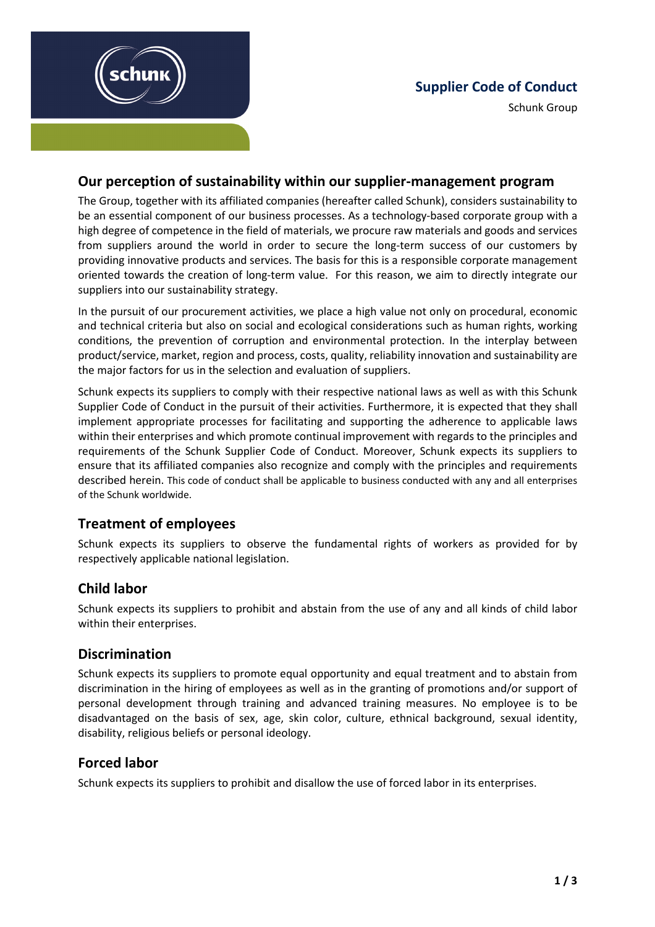



# **Our perception of sustainability within our supplier-management program**

The Group, together with its affiliated companies (hereafter called Schunk), considers sustainability to be an essential component of our business processes. As a technology-based corporate group with a high degree of competence in the field of materials, we procure raw materials and goods and services from suppliers around the world in order to secure the long-term success of our customers by providing innovative products and services. The basis for this is a responsible corporate management oriented towards the creation of long-term value. For this reason, we aim to directly integrate our suppliers into our sustainability strategy.

In the pursuit of our procurement activities, we place a high value not only on procedural, economic and technical criteria but also on social and ecological considerations such as human rights, working conditions, the prevention of corruption and environmental protection. In the interplay between product/service, market, region and process, costs, quality, reliability innovation and sustainability are the major factors for us in the selection and evaluation of suppliers.

Schunk expects its suppliers to comply with their respective national laws as well as with this Schunk Supplier Code of Conduct in the pursuit of their activities. Furthermore, it is expected that they shall implement appropriate processes for facilitating and supporting the adherence to applicable laws within their enterprises and which promote continual improvement with regards to the principles and requirements of the Schunk Supplier Code of Conduct. Moreover, Schunk expects its suppliers to ensure that its affiliated companies also recognize and comply with the principles and requirements described herein. This code of conduct shall be applicable to business conducted with any and all enterprises of the Schunk worldwide.

# **Treatment of employees**

Schunk expects its suppliers to observe the fundamental rights of workers as provided for by respectively applicable national legislation.

# **Child labor**

Schunk expects its suppliers to prohibit and abstain from the use of any and all kinds of child labor within their enterprises.

# **Discrimination**

Schunk expects its suppliers to promote equal opportunity and equal treatment and to abstain from discrimination in the hiring of employees as well as in the granting of promotions and/or support of personal development through training and advanced training measures. No employee is to be disadvantaged on the basis of sex, age, skin color, culture, ethnical background, sexual identity, disability, religious beliefs or personal ideology.

# **Forced labor**

Schunk expects its suppliers to prohibit and disallow the use of forced labor in its enterprises.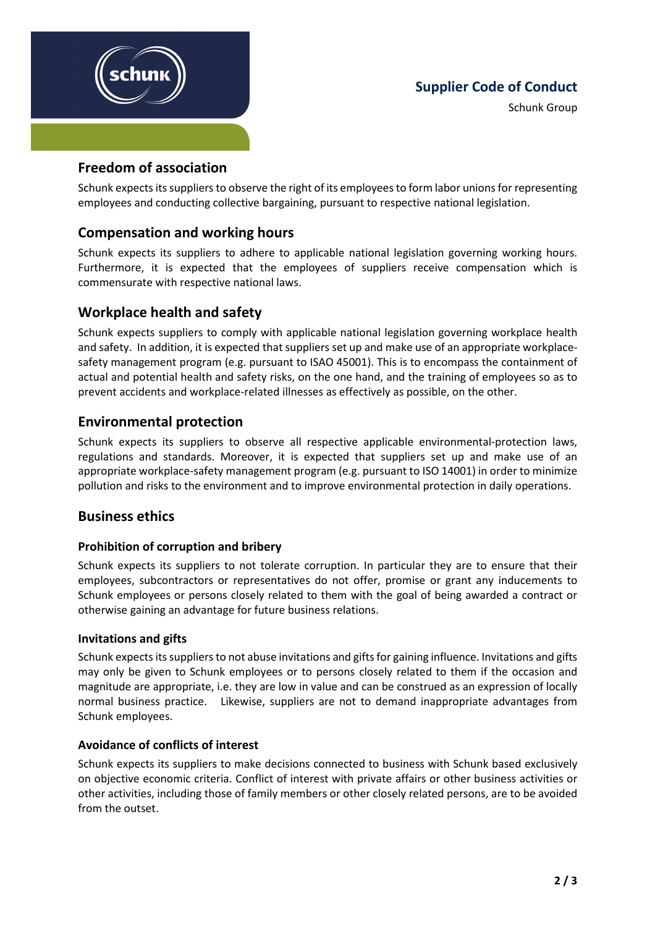

## **Supplier Code of Conduct**

Schunk Group

#### **Freedom of association**

Schunk expects its suppliers to observe the right of its employees to form labor unions for representing employees and conducting collective bargaining, pursuant to respective national legislation.

## **Compensation and working hours**

Schunk expects its suppliers to adhere to applicable national legislation governing working hours. Furthermore, it is expected that the employees of suppliers receive compensation which is commensurate with respective national laws.

## **Workplace health and safety**

Schunk expects suppliers to comply with applicable national legislation governing workplace health and safety. In addition, it is expected that suppliers set up and make use of an appropriate workplacesafety management program (e.g. pursuant to ISAO 45001). This is to encompass the containment of actual and potential health and safety risks, on the one hand, and the training of employees so as to prevent accidents and workplace-related illnesses as effectively as possible, on the other.

## **Environmental protection**

Schunk expects its suppliers to observe all respective applicable environmental-protection laws, regulations and standards. Moreover, it is expected that suppliers set up and make use of an appropriate workplace-safety management program (e.g. pursuant to ISO 14001) in order to minimize pollution and risks to the environment and to improve environmental protection in daily operations.

## **Business ethics**

#### **Prohibition of corruption and bribery**

Schunk expects its suppliers to not tolerate corruption. In particular they are to ensure that their employees, subcontractors or representatives do not offer, promise or grant any inducements to Schunk employees or persons closely related to them with the goal of being awarded a contract or otherwise gaining an advantage for future business relations.

#### **Invitations and gifts**

Schunk expects its suppliers to not abuse invitations and gifts for gaining influence. Invitations and gifts may only be given to Schunk employees or to persons closely related to them if the occasion and magnitude are appropriate, i.e. they are low in value and can be construed as an expression of locally normal business practice. Likewise, suppliers are not to demand inappropriate advantages from Schunk employees.

#### **Avoidance of conflicts of interest**

Schunk expects its suppliers to make decisions connected to business with Schunk based exclusively on objective economic criteria. Conflict of interest with private affairs or other business activities or other activities, including those of family members or other closely related persons, are to be avoided from the outset.